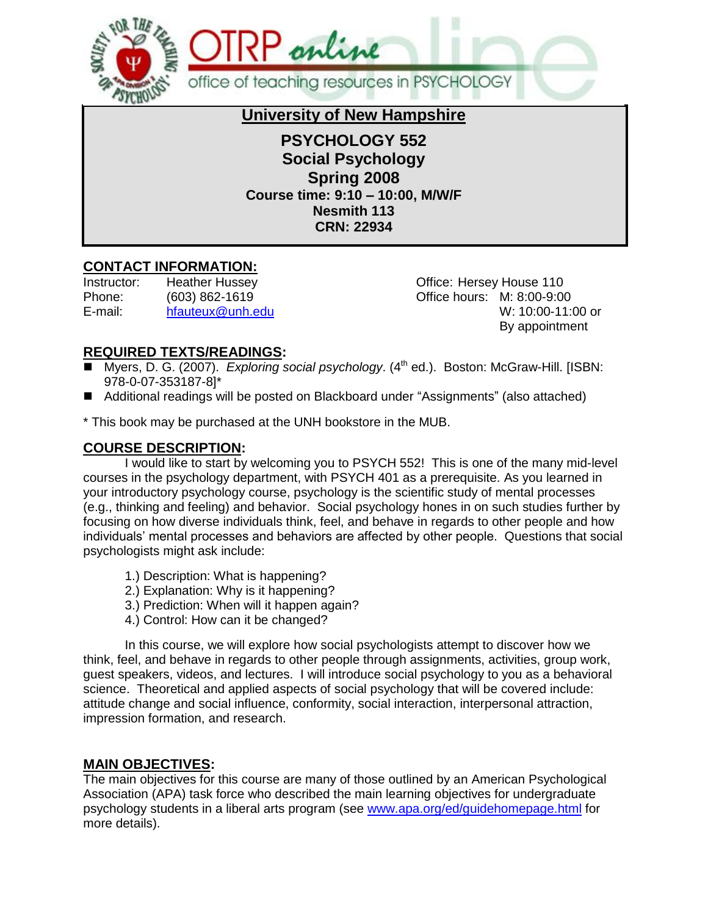

# **University of New Hampshire**

**PSYCHOLOGY 552 Social Psychology Spring 2008 Course time: 9:10 – 10:00, M/W/F Nesmith 113 CRN: 22934**

# **CONTACT INFORMATION:**

Instructor: Heather Hussey Office: Hersey House 110 Phone: (603) 862-1619 Office hours: M: 8:00-9:00 E-mail: [hfauteux@unh.edu](mailto:hfauteux@unh.edu) W: 10:00-11:00 or

By appointment

# **REQUIRED TEXTS/READINGS:**

- Myers, D. G. (2007). *Exploring social psychology*. (4<sup>th</sup> ed.). Boston: McGraw-Hill. [ISBN: 978-0-07-353187-8]\*
- Additional readings will be posted on Blackboard under "Assignments" (also attached)
- \* This book may be purchased at the UNH bookstore in the MUB.

# **COURSE DESCRIPTION:**

I would like to start by welcoming you to PSYCH 552! This is one of the many mid-level courses in the psychology department, with PSYCH 401 as a prerequisite. As you learned in your introductory psychology course, psychology is the scientific study of mental processes (e.g., thinking and feeling) and behavior. Social psychology hones in on such studies further by focusing on how diverse individuals think, feel, and behave in regards to other people and how individuals' mental processes and behaviors are affected by other people. Questions that social psychologists might ask include:

- 1.) Description: What is happening?
- 2.) Explanation: Why is it happening?
- 3.) Prediction: When will it happen again?
- 4.) Control: How can it be changed?

In this course, we will explore how social psychologists attempt to discover how we think, feel, and behave in regards to other people through assignments, activities, group work, guest speakers, videos, and lectures. I will introduce social psychology to you as a behavioral science. Theoretical and applied aspects of social psychology that will be covered include: attitude change and social influence, conformity, social interaction, interpersonal attraction, impression formation, and research.

# **MAIN OBJECTIVES:**

The main objectives for this course are many of those outlined by an American Psychological Association (APA) task force who described the main learning objectives for undergraduate psychology students in a liberal arts program (see [www.apa.org/ed/guidehomepage.html](http://www.apa.org/ed/guidehomepage.html) for more details).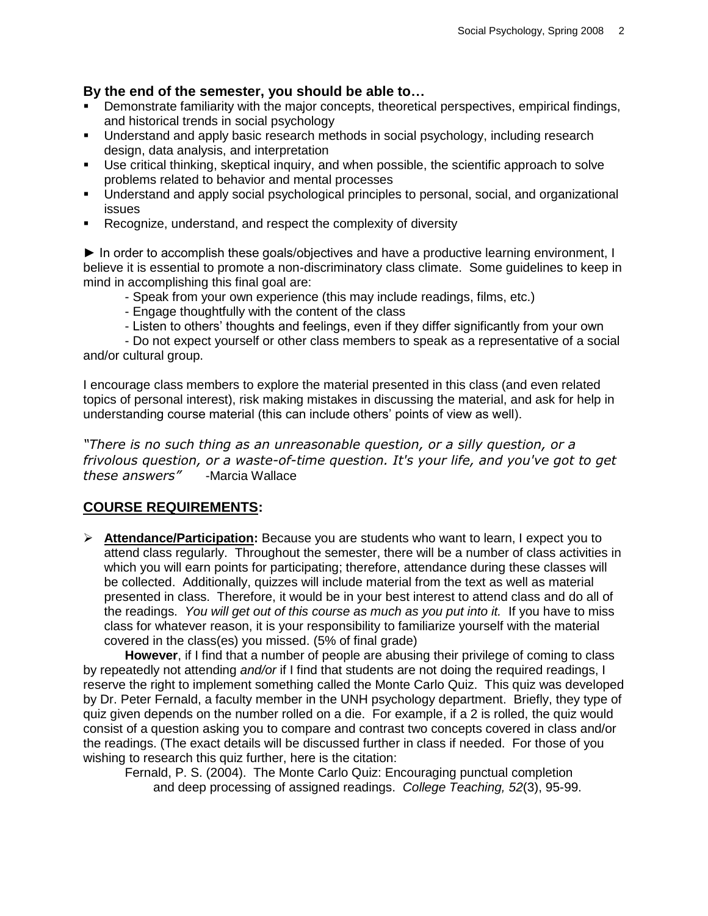#### **By the end of the semester, you should be able to…**

- Demonstrate familiarity with the major concepts, theoretical perspectives, empirical findings, and historical trends in social psychology
- Understand and apply basic research methods in social psychology, including research design, data analysis, and interpretation
- Use critical thinking, skeptical inquiry, and when possible, the scientific approach to solve problems related to behavior and mental processes
- Understand and apply social psychological principles to personal, social, and organizational issues
- Recognize, understand, and respect the complexity of diversity

► In order to accomplish these goals/objectives and have a productive learning environment, I believe it is essential to promote a non-discriminatory class climate. Some guidelines to keep in mind in accomplishing this final goal are:

- Speak from your own experience (this may include readings, films, etc.)
- Engage thoughtfully with the content of the class
- Listen to others' thoughts and feelings, even if they differ significantly from your own

- Do not expect yourself or other class members to speak as a representative of a social and/or cultural group.

I encourage class members to explore the material presented in this class (and even related topics of personal interest), risk making mistakes in discussing the material, and ask for help in understanding course material (this can include others' points of view as well).

*"There is no such thing as an unreasonable question, or a silly question, or a frivolous question, or a waste-of-time question. It's your life, and you've got to get these answers"* -Marcia Wallace

# **COURSE REQUIREMENTS:**

 **Attendance/Participation:** Because you are students who want to learn, I expect you to attend class regularly. Throughout the semester, there will be a number of class activities in which you will earn points for participating; therefore, attendance during these classes will be collected. Additionally, quizzes will include material from the text as well as material presented in class. Therefore, it would be in your best interest to attend class and do all of the readings. *You will get out of this course as much as you put into it.* If you have to miss class for whatever reason, it is your responsibility to familiarize yourself with the material covered in the class(es) you missed. (5% of final grade)

**However**, if I find that a number of people are abusing their privilege of coming to class by repeatedly not attending *and/or* if I find that students are not doing the required readings, I reserve the right to implement something called the Monte Carlo Quiz. This quiz was developed by Dr. Peter Fernald, a faculty member in the UNH psychology department. Briefly, they type of quiz given depends on the number rolled on a die. For example, if a 2 is rolled, the quiz would consist of a question asking you to compare and contrast two concepts covered in class and/or the readings. (The exact details will be discussed further in class if needed. For those of you wishing to research this quiz further, here is the citation:

Fernald, P. S. (2004). The Monte Carlo Quiz: Encouraging punctual completion and deep processing of assigned readings. *College Teaching, 52*(3), 95-99.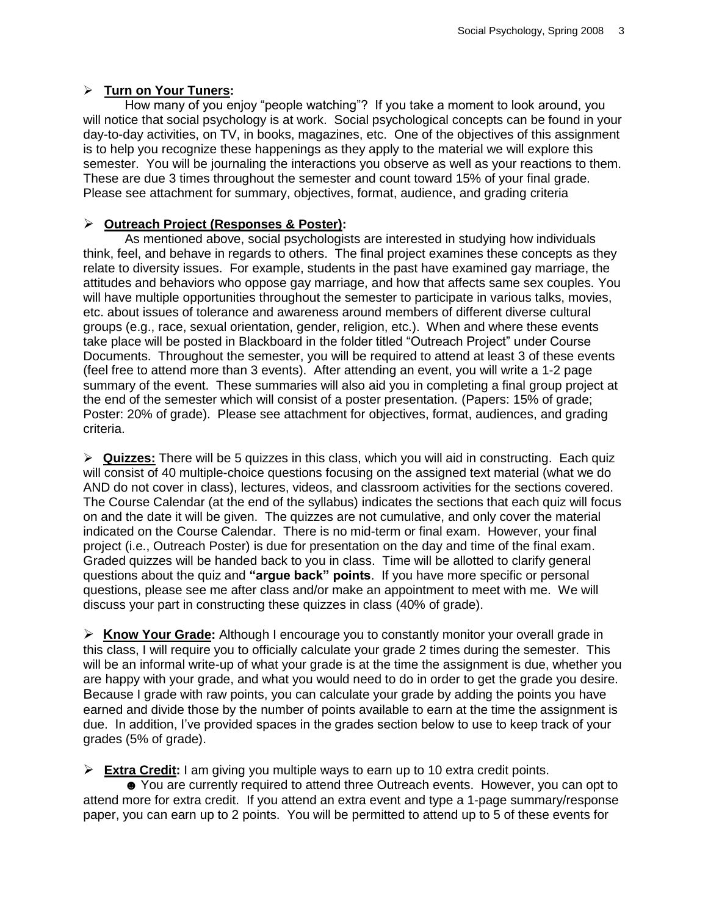#### **Turn on Your Tuners:**

How many of you enjoy "people watching"? If you take a moment to look around, you will notice that social psychology is at work. Social psychological concepts can be found in your day-to-day activities, on TV, in books, magazines, etc. One of the objectives of this assignment is to help you recognize these happenings as they apply to the material we will explore this semester. You will be journaling the interactions you observe as well as your reactions to them. These are due 3 times throughout the semester and count toward 15% of your final grade. Please see attachment for summary, objectives, format, audience, and grading criteria

#### **Outreach Project (Responses & Poster):**

As mentioned above, social psychologists are interested in studying how individuals think, feel, and behave in regards to others. The final project examines these concepts as they relate to diversity issues. For example, students in the past have examined gay marriage, the attitudes and behaviors who oppose gay marriage, and how that affects same sex couples. You will have multiple opportunities throughout the semester to participate in various talks, movies, etc. about issues of tolerance and awareness around members of different diverse cultural groups (e.g., race, sexual orientation, gender, religion, etc.). When and where these events take place will be posted in Blackboard in the folder titled "Outreach Project" under Course Documents. Throughout the semester, you will be required to attend at least 3 of these events (feel free to attend more than 3 events). After attending an event, you will write a 1-2 page summary of the event. These summaries will also aid you in completing a final group project at the end of the semester which will consist of a poster presentation. (Papers: 15% of grade; Poster: 20% of grade). Please see attachment for objectives, format, audiences, and grading criteria.

 **Quizzes:** There will be 5 quizzes in this class, which you will aid in constructing. Each quiz will consist of 40 multiple-choice questions focusing on the assigned text material (what we do AND do not cover in class), lectures, videos, and classroom activities for the sections covered. The Course Calendar (at the end of the syllabus) indicates the sections that each quiz will focus on and the date it will be given. The quizzes are not cumulative, and only cover the material indicated on the Course Calendar. There is no mid-term or final exam. However, your final project (i.e., Outreach Poster) is due for presentation on the day and time of the final exam. Graded quizzes will be handed back to you in class. Time will be allotted to clarify general questions about the quiz and **"argue back" points**. If you have more specific or personal questions, please see me after class and/or make an appointment to meet with me. We will discuss your part in constructing these quizzes in class (40% of grade).

 **Know Your Grade:** Although I encourage you to constantly monitor your overall grade in this class, I will require you to officially calculate your grade 2 times during the semester. This will be an informal write-up of what your grade is at the time the assignment is due, whether you are happy with your grade, and what you would need to do in order to get the grade you desire. Because I grade with raw points, you can calculate your grade by adding the points you have earned and divide those by the number of points available to earn at the time the assignment is due. In addition, I've provided spaces in the grades section below to use to keep track of your grades (5% of grade).

**Extra Credit:** I am giving you multiple ways to earn up to 10 extra credit points.

☻ You are currently required to attend three Outreach events. However, you can opt to attend more for extra credit. If you attend an extra event and type a 1-page summary/response paper, you can earn up to 2 points. You will be permitted to attend up to 5 of these events for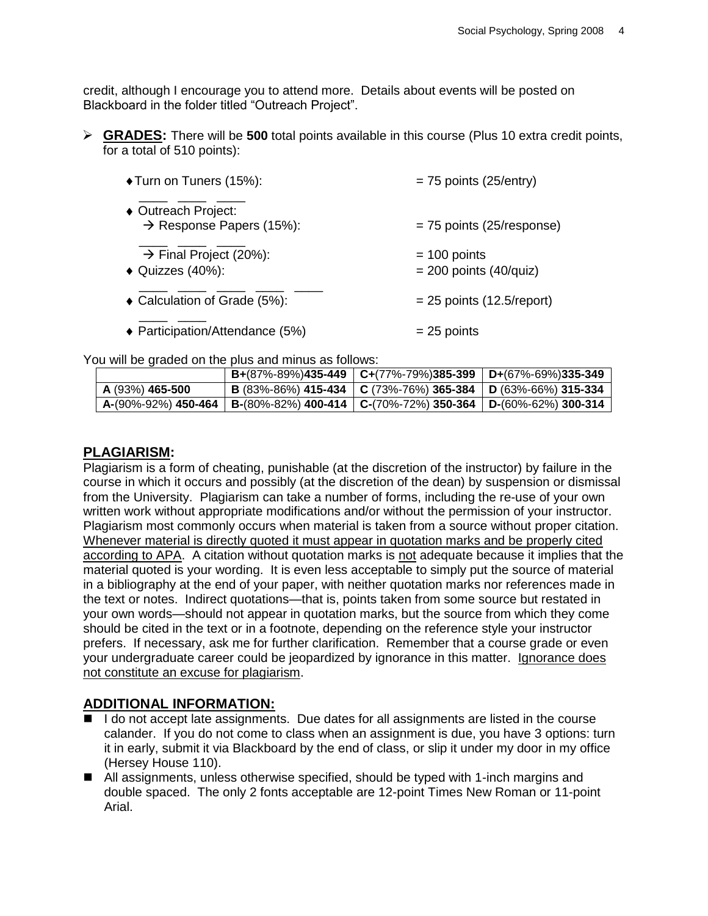credit, although I encourage you to attend more. Details about events will be posted on Blackboard in the folder titled "Outreach Project".

 **GRADES:** There will be **500** total points available in this course (Plus 10 extra credit points, for a total of 510 points):

| ◆ Turn on Tuners (15%):                                          | $= 75$ points (25/entry)                   |  |  |
|------------------------------------------------------------------|--------------------------------------------|--|--|
| ♦ Outreach Project:<br>$\rightarrow$ Response Papers (15%):      | = 75 points (25/response)                  |  |  |
| $\rightarrow$ Final Project (20%):<br>$\triangle$ Quizzes (40%): | $= 100$ points<br>$= 200$ points (40/quiz) |  |  |
| ♦ Calculation of Grade (5%):                                     | $= 25$ points (12.5/report)                |  |  |
| ◆ Participation/Attendance (5%)                                  | $= 25$ points                              |  |  |

You will be graded on the plus and minus as follows:

|                 |                                                                                       | $B+(87\% - 89\%)$ 435-449   C+(77%-79%)385-399                         | D+(67%-69%)335-349 |
|-----------------|---------------------------------------------------------------------------------------|------------------------------------------------------------------------|--------------------|
| A (93%) 465-500 |                                                                                       | <b>B</b> (83%-86%) 415-434   C (73%-76%) 365-384   D (63%-66%) 315-334 |                    |
|                 | A-(90%-92%) 450-464   B-(80%-82%) 400-414   C-(70%-72%) 350-364   D-(60%-62%) 300-314 |                                                                        |                    |

### **PLAGIARISM:**

Plagiarism is a form of cheating, punishable (at the discretion of the instructor) by failure in the course in which it occurs and possibly (at the discretion of the dean) by suspension or dismissal from the University. Plagiarism can take a number of forms, including the re-use of your own written work without appropriate modifications and/or without the permission of your instructor. Plagiarism most commonly occurs when material is taken from a source without proper citation. Whenever material is directly quoted it must appear in quotation marks and be properly cited according to APA. A citation without quotation marks is not adequate because it implies that the material quoted is your wording. It is even less acceptable to simply put the source of material in a bibliography at the end of your paper, with neither quotation marks nor references made in the text or notes. Indirect quotations—that is, points taken from some source but restated in your own words—should not appear in quotation marks, but the source from which they come should be cited in the text or in a footnote, depending on the reference style your instructor prefers. If necessary, ask me for further clarification. Remember that a course grade or even your undergraduate career could be jeopardized by ignorance in this matter. Ignorance does not constitute an excuse for plagiarism.

#### **ADDITIONAL INFORMATION:**

- $\blacksquare$  I do not accept late assignments. Due dates for all assignments are listed in the course calander. If you do not come to class when an assignment is due, you have 3 options: turn it in early, submit it via Blackboard by the end of class, or slip it under my door in my office (Hersey House 110).
- All assignments, unless otherwise specified, should be typed with 1-inch margins and double spaced. The only 2 fonts acceptable are 12-point Times New Roman or 11-point Arial.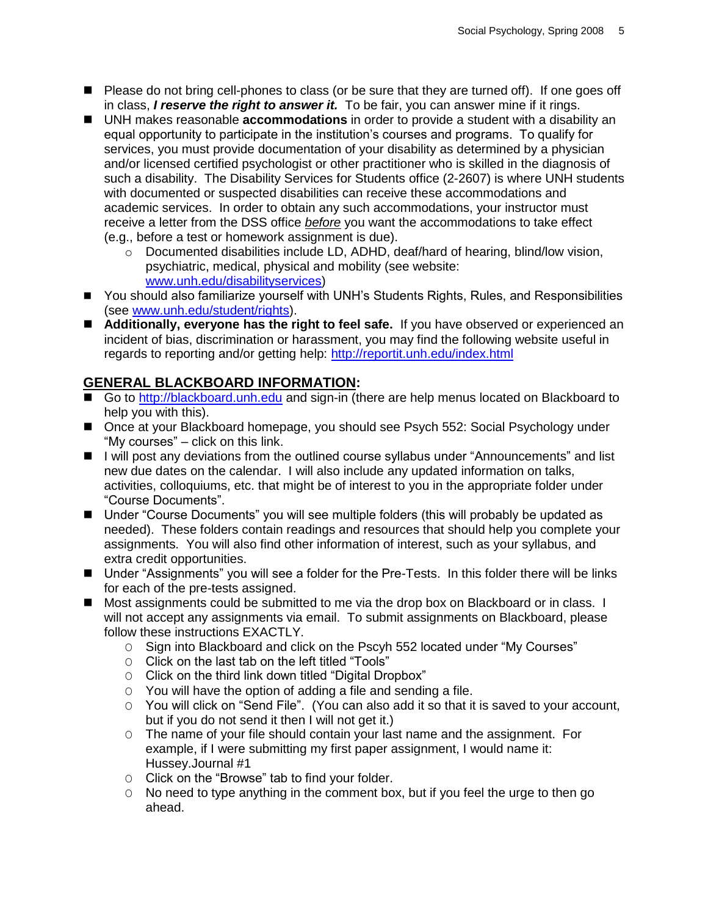- Please do not bring cell-phones to class (or be sure that they are turned off). If one goes off in class, *I reserve the right to answer it.* To be fair, you can answer mine if it rings.
- UNH makes reasonable **accommodations** in order to provide a student with a disability an equal opportunity to participate in the institution's courses and programs. To qualify for services, you must provide documentation of your disability as determined by a physician and/or licensed certified psychologist or other practitioner who is skilled in the diagnosis of such a disability. The Disability Services for Students office (2-2607) is where UNH students with documented or suspected disabilities can receive these accommodations and academic services. In order to obtain any such accommodations, your instructor must receive a letter from the DSS office *before* you want the accommodations to take effect (e.g., before a test or homework assignment is due).
	- $\circ$  Documented disabilities include LD, ADHD, deaf/hard of hearing, blind/low vision, psychiatric, medical, physical and mobility (see website: [www.unh.edu/disabilityservices\)](http://www.unh.edu/disabilityservices)
- You should also familiarize yourself with UNH's Students Rights, Rules, and Responsibilities (see [www.unh.edu/student/rights\)](http://www.unh.edu/student/rights).
- Additionally, everyone has the right to feel safe. If you have observed or experienced an incident of bias, discrimination or harassment, you may find the following website useful in regards to reporting and/or getting help:<http://reportit.unh.edu/index.html>

# **GENERAL BLACKBOARD INFORMATION:**

- Go to [http://blackboard.unh.edu](http://blackboard.unh.edu/) and sign-in (there are help menus located on Blackboard to help you with this).
- Once at your Blackboard homepage, you should see Psych 552: Social Psychology under "My courses" – click on this link.
- I will post any deviations from the outlined course syllabus under "Announcements" and list new due dates on the calendar. I will also include any updated information on talks, activities, colloquiums, etc. that might be of interest to you in the appropriate folder under ―Course Documents‖.
- Under "Course Documents" you will see multiple folders (this will probably be updated as needed). These folders contain readings and resources that should help you complete your assignments. You will also find other information of interest, such as your syllabus, and extra credit opportunities.
- Under "Assignments" you will see a folder for the Pre-Tests. In this folder there will be links for each of the pre-tests assigned.
- Most assignments could be submitted to me via the drop box on Blackboard or in class. I will not accept any assignments via email. To submit assignments on Blackboard, please follow these instructions EXACTLY.
	- O Sign into Blackboard and click on the Pscyh 552 located under "My Courses"
	- O Click on the last tab on the left titled "Tools"
	- O Click on the third link down titled "Digital Dropbox"
	- O You will have the option of adding a file and sending a file.
	- $\circ$  You will click on "Send File". (You can also add it so that it is saved to your account, but if you do not send it then I will not get it.)
	- O The name of your file should contain your last name and the assignment. For example, if I were submitting my first paper assignment, I would name it: Hussey.Journal #1
	- $O$  Click on the "Browse" tab to find your folder.
	- O No need to type anything in the comment box, but if you feel the urge to then go ahead.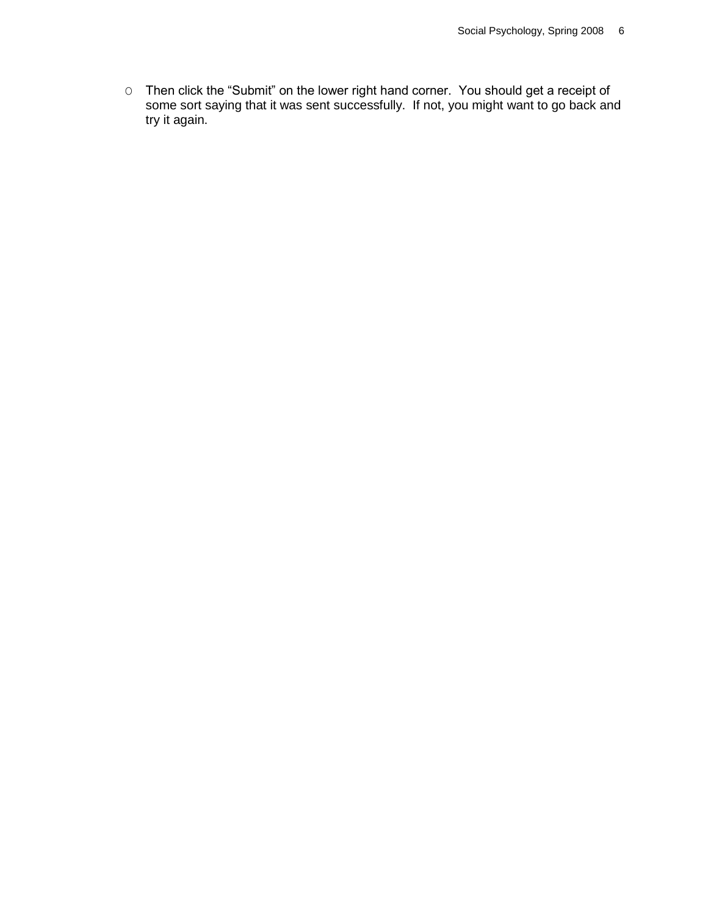$\circ$  Then click the "Submit" on the lower right hand corner. You should get a receipt of some sort saying that it was sent successfully. If not, you might want to go back and try it again.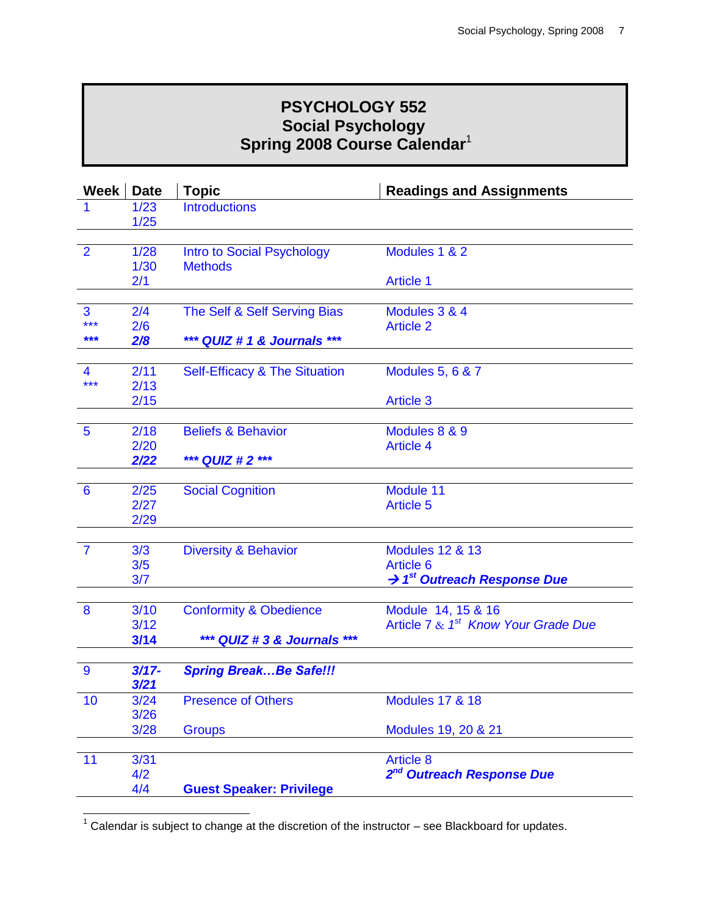# **PSYCHOLOGY 552 Social Psychology Spring 2008 Course Calendar**<sup>1</sup>

| <b>Week</b>     | <b>Date</b>  | <b>Topic</b>                             | <b>Readings and Assignments</b>                 |
|-----------------|--------------|------------------------------------------|-------------------------------------------------|
| 1               | 1/23         | <b>Introductions</b>                     |                                                 |
|                 | 1/25         |                                          |                                                 |
|                 |              |                                          |                                                 |
| $\overline{2}$  | 1/28         | <b>Intro to Social Psychology</b>        | Modules 1 & 2                                   |
|                 | 1/30         | <b>Methods</b>                           |                                                 |
|                 | 2/1          |                                          | <b>Article 1</b>                                |
| 3               | 2/4          | The Self & Self Serving Bias             | Modules 3 & 4                                   |
| ***             | 2/6          |                                          | <b>Article 2</b>                                |
| ***             | 2/8          | *** QUIZ # 1 & Journals ***              |                                                 |
|                 |              |                                          |                                                 |
| $\overline{4}$  | 2/11         | <b>Self-Efficacy &amp; The Situation</b> | <b>Modules 5, 6 &amp; 7</b>                     |
| ***             | 2/13         |                                          |                                                 |
|                 | 2/15         |                                          | <b>Article 3</b>                                |
|                 |              |                                          |                                                 |
| $\overline{5}$  | 2/18         | <b>Beliefs &amp; Behavior</b>            | Modules 8 & 9                                   |
|                 | 2/20         |                                          | <b>Article 4</b>                                |
|                 | 2/22         | *** QUIZ # 2 ***                         |                                                 |
|                 |              |                                          |                                                 |
| $6\phantom{1}6$ | 2/25<br>2/27 | <b>Social Cognition</b>                  | Module 11<br><b>Article 5</b>                   |
|                 | 2/29         |                                          |                                                 |
|                 |              |                                          |                                                 |
| $\overline{7}$  | 3/3          | <b>Diversity &amp; Behavior</b>          | <b>Modules 12 &amp; 13</b>                      |
|                 | 3/5          |                                          | <b>Article 6</b>                                |
|                 | 3/7          |                                          | → 1 <sup>st</sup> Outreach Response Due         |
|                 |              |                                          |                                                 |
| 8               | 3/10         | <b>Conformity &amp; Obedience</b>        | Module 14, 15 & 16                              |
|                 | 3/12         |                                          | Article 7 & 1 <sup>st</sup> Know Your Grade Due |
|                 | 3/14         | *** QUIZ # 3 & Journals ***              |                                                 |
|                 |              |                                          |                                                 |
| 9               | $3/17 -$     | <b>Spring BreakBe Safe!!!</b>            |                                                 |
| 10              | 3/21<br>3/24 | <b>Presence of Others</b>                | <b>Modules 17 &amp; 18</b>                      |
|                 | 3/26         |                                          |                                                 |
|                 | 3/28         | <b>Groups</b>                            | Modules 19, 20 & 21                             |
|                 |              |                                          |                                                 |
| 11              | 3/31         |                                          | <b>Article 8</b>                                |
|                 | 4/2          |                                          | 2 <sup>nd</sup> Outreach Response Due           |
|                 | 4/4          | <b>Guest Speaker: Privilege</b>          |                                                 |

  $1$  Calendar is subject to change at the discretion of the instructor – see Blackboard for updates.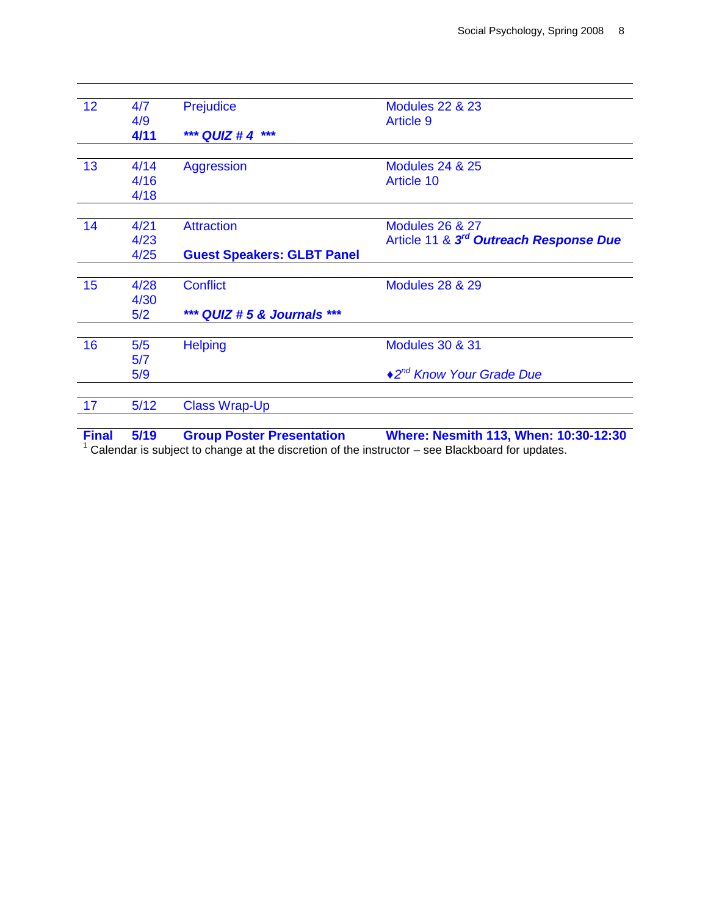| 12 | 4/7  | <b>Prejudice</b>                  | <b>Modules 22 &amp; 23</b>                         |
|----|------|-----------------------------------|----------------------------------------------------|
|    | 4/9  |                                   | <b>Article 9</b>                                   |
|    | 4/11 | ***<br>*** QUIZ # 4               |                                                    |
|    |      |                                   |                                                    |
| 13 | 4/14 | <b>Aggression</b>                 | <b>Modules 24 &amp; 25</b>                         |
|    | 4/16 |                                   | Article 10                                         |
|    | 4/18 |                                   |                                                    |
|    |      |                                   |                                                    |
| 14 | 4/21 | <b>Attraction</b>                 | <b>Modules 26 &amp; 27</b>                         |
|    | 4/23 |                                   | Article 11 & 3 <sup>rd</sup> Outreach Response Due |
|    | 4/25 | <b>Guest Speakers: GLBT Panel</b> |                                                    |
|    |      |                                   |                                                    |
| 15 | 4/28 | <b>Conflict</b>                   | <b>Modules 28 &amp; 29</b>                         |
|    | 4/30 |                                   |                                                    |
|    | 5/2  | *** QUIZ # 5 & Journals ***       |                                                    |
| 16 | 5/5  | <b>Helping</b>                    | <b>Modules 30 &amp; 31</b>                         |
|    | 5/7  |                                   |                                                    |
|    | 5/9  |                                   | ◆2 <sup>nd</sup> Know Your Grade Due               |
|    |      |                                   |                                                    |
| 17 | 5/12 | <b>Class Wrap-Up</b>              |                                                    |

**Final 5/19 Group Poster Presentation Where: Nesmith 113, When: 10:30-12:30**  $1$  Calendar is subject to change at the discretion of the instructor – see Blackboard for updates.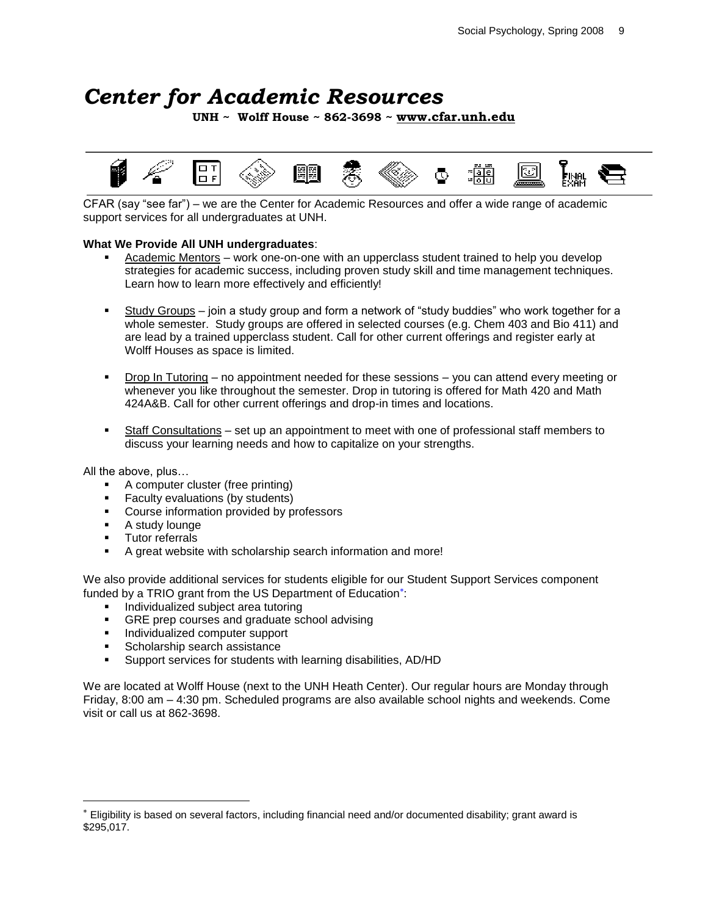# *Center for Academic Resources*

**UNH ~ Wolff House ~ 862-3698 ~ [www.cfar.unh.edu](http://www.cfar.unh.edu/)**



CFAR (say "see far") – we are the Center for Academic Resources and offer a wide range of academic support services for all undergraduates at UNH.

#### **What We Provide All UNH undergraduates**:

- Academic Mentors work one-on-one with an upperclass student trained to help you develop strategies for academic success, including proven study skill and time management techniques. Learn how to learn more effectively and efficiently!
- **Study Groups join a study group and form a network of "study buddies" who work together for a** whole semester. Study groups are offered in selected courses (e.g. Chem 403 and Bio 411) and are lead by a trained upperclass student. Call for other current offerings and register early at Wolff Houses as space is limited.
- Drop In Tutoring no appointment needed for these sessions you can attend every meeting or whenever you like throughout the semester. Drop in tutoring is offered for Math 420 and Math 424A&B. Call for other current offerings and drop-in times and locations.
- Staff Consultations set up an appointment to meet with one of professional staff members to discuss your learning needs and how to capitalize on your strengths.

All the above, plus…

- A computer cluster (free printing)
- Faculty evaluations (by students)
- Course information provided by professors
- **A** study lounge
- **Tutor referrals**
- A great website with scholarship search information and more!

We also provide additional services for students eligible for our Student Support Services component funded by a TRIO grant from the US Department of Education\*:

- **Individualized subject area tutoring**
- **GRE** prep courses and graduate school advising
- **Individualized computer support**
- **Scholarship search assistance**
- Support services for students with learning disabilities, AD/HD

We are located at Wolff House (next to the UNH Heath Center). Our regular hours are Monday through Friday, 8:00 am – 4:30 pm. Scheduled programs are also available school nights and weekends. Come visit or call us at 862-3698.

Eligibility is based on several factors, including financial need and/or documented disability; grant award is \$295,017.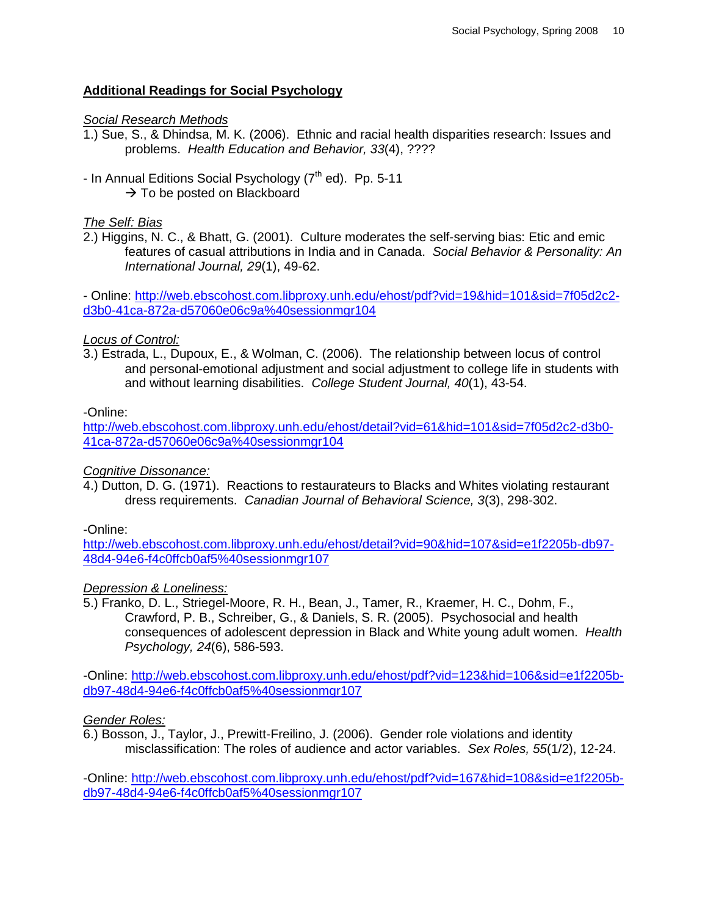#### **Additional Readings for Social Psychology**

#### *Social Research Methods*

1.) Sue, S., & Dhindsa, M. K. (2006). Ethnic and racial health disparities research: Issues and problems. *Health Education and Behavior, 33*(4), ????

- In Annual Editions Social Psychology  $(7<sup>th</sup>$  ed). Pp. 5-11  $\rightarrow$  To be posted on Blackboard

#### *The Self: Bias*

2.) Higgins, N. C., & Bhatt, G. (2001). Culture moderates the self-serving bias: Etic and emic features of casual attributions in India and in Canada. *Social Behavior & Personality: An International Journal, 29*(1), 49-62.

- Online: [http://web.ebscohost.com.libproxy.unh.edu/ehost/pdf?vid=19&hid=101&sid=7f05d2c2](http://web.ebscohost.com.libproxy.unh.edu/ehost/pdf?vid=19&hid=101&sid=7f05d2c2-d3b0-41ca-872a-d57060e06c9a%40sessionmgr104) [d3b0-41ca-872a-d57060e06c9a%40sessionmgr104](http://web.ebscohost.com.libproxy.unh.edu/ehost/pdf?vid=19&hid=101&sid=7f05d2c2-d3b0-41ca-872a-d57060e06c9a%40sessionmgr104)

#### *Locus of Control:*

3.) Estrada, L., Dupoux, E., & Wolman, C. (2006). The relationship between locus of control and personal-emotional adjustment and social adjustment to college life in students with and without learning disabilities. *College Student Journal, 40*(1), 43-54.

-Online:

[http://web.ebscohost.com.libproxy.unh.edu/ehost/detail?vid=61&hid=101&sid=7f05d2c2-d3b0-](http://web.ebscohost.com.libproxy.unh.edu/ehost/detail?vid=61&hid=101&sid=7f05d2c2-d3b0-41ca-872a-d57060e06c9a%40sessionmgr104) [41ca-872a-d57060e06c9a%40sessionmgr104](http://web.ebscohost.com.libproxy.unh.edu/ehost/detail?vid=61&hid=101&sid=7f05d2c2-d3b0-41ca-872a-d57060e06c9a%40sessionmgr104)

#### *Cognitive Dissonance:*

4.) Dutton, D. G. (1971). Reactions to restaurateurs to Blacks and Whites violating restaurant dress requirements. *Canadian Journal of Behavioral Science, 3*(3), 298-302.

#### -Online:

[http://web.ebscohost.com.libproxy.unh.edu/ehost/detail?vid=90&hid=107&sid=e1f2205b-db97-](http://web.ebscohost.com.libproxy.unh.edu/ehost/detail?vid=90&hid=107&sid=e1f2205b-db97-48d4-94e6-f4c0ffcb0af5%40sessionmgr107) [48d4-94e6-f4c0ffcb0af5%40sessionmgr107](http://web.ebscohost.com.libproxy.unh.edu/ehost/detail?vid=90&hid=107&sid=e1f2205b-db97-48d4-94e6-f4c0ffcb0af5%40sessionmgr107)

#### *Depression & Loneliness:*

5.) Franko, D. L., Striegel-Moore, R. H., Bean, J., Tamer, R., Kraemer, H. C., Dohm, F., Crawford, P. B., Schreiber, G., & Daniels, S. R. (2005). Psychosocial and health consequences of adolescent depression in Black and White young adult women. *Health Psychology, 24*(6), 586-593.

-Online: [http://web.ebscohost.com.libproxy.unh.edu/ehost/pdf?vid=123&hid=106&sid=e1f2205b](http://web.ebscohost.com.libproxy.unh.edu/ehost/pdf?vid=123&hid=106&sid=e1f2205b-db97-48d4-94e6-f4c0ffcb0af5%40sessionmgr107)[db97-48d4-94e6-f4c0ffcb0af5%40sessionmgr107](http://web.ebscohost.com.libproxy.unh.edu/ehost/pdf?vid=123&hid=106&sid=e1f2205b-db97-48d4-94e6-f4c0ffcb0af5%40sessionmgr107)

#### *Gender Roles:*

6.) Bosson, J., Taylor, J., Prewitt-Freilino, J. (2006). Gender role violations and identity misclassification: The roles of audience and actor variables. *Sex Roles, 55*(1/2), 12-24.

-Online: [http://web.ebscohost.com.libproxy.unh.edu/ehost/pdf?vid=167&hid=108&sid=e1f2205b](http://web.ebscohost.com.libproxy.unh.edu/ehost/pdf?vid=167&hid=108&sid=e1f2205b-db97-48d4-94e6-f4c0ffcb0af5%40sessionmgr107)[db97-48d4-94e6-f4c0ffcb0af5%40sessionmgr107](http://web.ebscohost.com.libproxy.unh.edu/ehost/pdf?vid=167&hid=108&sid=e1f2205b-db97-48d4-94e6-f4c0ffcb0af5%40sessionmgr107)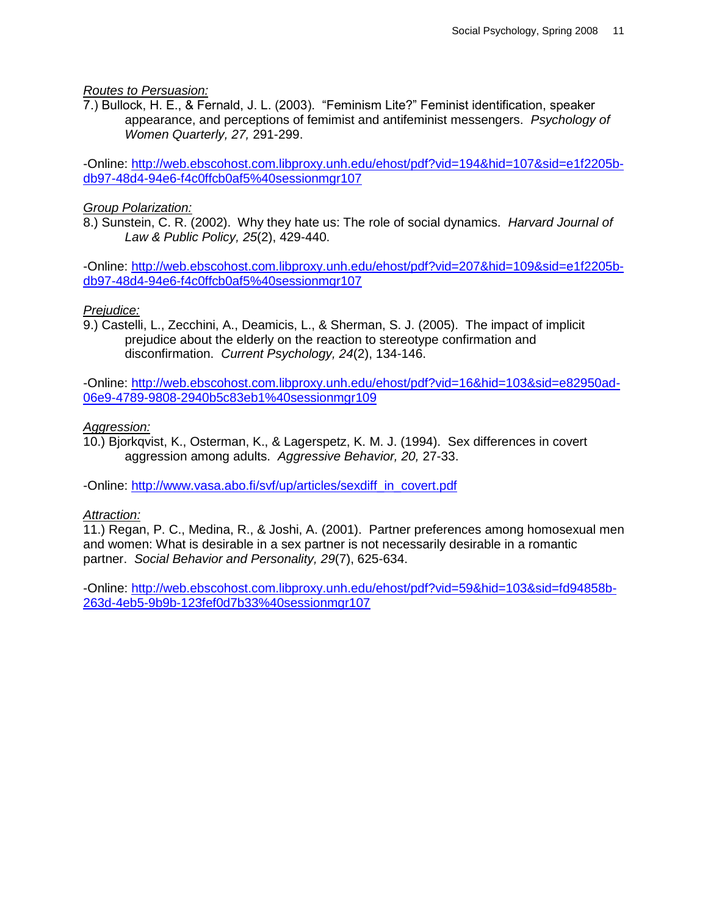*Routes to Persuasion:*

7.) Bullock, H. E., & Fernald, J. L. (2003). "Feminism Lite?" Feminist identification, speaker appearance, and perceptions of femimist and antifeminist messengers. *Psychology of Women Quarterly, 27,* 291-299.

-Online: [http://web.ebscohost.com.libproxy.unh.edu/ehost/pdf?vid=194&hid=107&sid=e1f2205b](http://web.ebscohost.com.libproxy.unh.edu/ehost/pdf?vid=194&hid=107&sid=e1f2205b-db97-48d4-94e6-f4c0ffcb0af5%40sessionmgr107)[db97-48d4-94e6-f4c0ffcb0af5%40sessionmgr107](http://web.ebscohost.com.libproxy.unh.edu/ehost/pdf?vid=194&hid=107&sid=e1f2205b-db97-48d4-94e6-f4c0ffcb0af5%40sessionmgr107)

#### *Group Polarization:*

8.) Sunstein, C. R. (2002). Why they hate us: The role of social dynamics. *Harvard Journal of Law & Public Policy, 25*(2), 429-440.

-Online: [http://web.ebscohost.com.libproxy.unh.edu/ehost/pdf?vid=207&hid=109&sid=e1f2205b](http://web.ebscohost.com.libproxy.unh.edu/ehost/pdf?vid=207&hid=109&sid=e1f2205b-db97-48d4-94e6-f4c0ffcb0af5%40sessionmgr107)[db97-48d4-94e6-f4c0ffcb0af5%40sessionmgr107](http://web.ebscohost.com.libproxy.unh.edu/ehost/pdf?vid=207&hid=109&sid=e1f2205b-db97-48d4-94e6-f4c0ffcb0af5%40sessionmgr107)

#### *Prejudice:*

9.) Castelli, L., Zecchini, A., Deamicis, L., & Sherman, S. J. (2005). The impact of implicit prejudice about the elderly on the reaction to stereotype confirmation and disconfirmation. *Current Psychology, 24*(2), 134-146.

-Online: [http://web.ebscohost.com.libproxy.unh.edu/ehost/pdf?vid=16&hid=103&sid=e82950ad-](http://web.ebscohost.com.libproxy.unh.edu/ehost/pdf?vid=16&hid=103&sid=e82950ad-06e9-4789-9808-2940b5c83eb1%40sessionmgr109)[06e9-4789-9808-2940b5c83eb1%40sessionmgr109](http://web.ebscohost.com.libproxy.unh.edu/ehost/pdf?vid=16&hid=103&sid=e82950ad-06e9-4789-9808-2940b5c83eb1%40sessionmgr109)

#### *Aggression:*

10.) Bjorkqvist, K., Osterman, K., & Lagerspetz, K. M. J. (1994). Sex differences in covert aggression among adults. *Aggressive Behavior, 20,* 27-33.

-Online: [http://www.vasa.abo.fi/svf/up/articles/sexdiff\\_in\\_covert.pdf](http://www.vasa.abo.fi/svf/up/articles/sexdiff_in_covert.pdf)

#### *Attraction:*

11.) Regan, P. C., Medina, R., & Joshi, A. (2001). Partner preferences among homosexual men and women: What is desirable in a sex partner is not necessarily desirable in a romantic partner. *Social Behavior and Personality, 29*(7), 625-634.

-Online: [http://web.ebscohost.com.libproxy.unh.edu/ehost/pdf?vid=59&hid=103&sid=fd94858b-](http://web.ebscohost.com.libproxy.unh.edu/ehost/pdf?vid=59&hid=103&sid=fd94858b-263d-4eb5-9b9b-123fef0d7b33%40sessionmgr107)[263d-4eb5-9b9b-123fef0d7b33%40sessionmgr107](http://web.ebscohost.com.libproxy.unh.edu/ehost/pdf?vid=59&hid=103&sid=fd94858b-263d-4eb5-9b9b-123fef0d7b33%40sessionmgr107)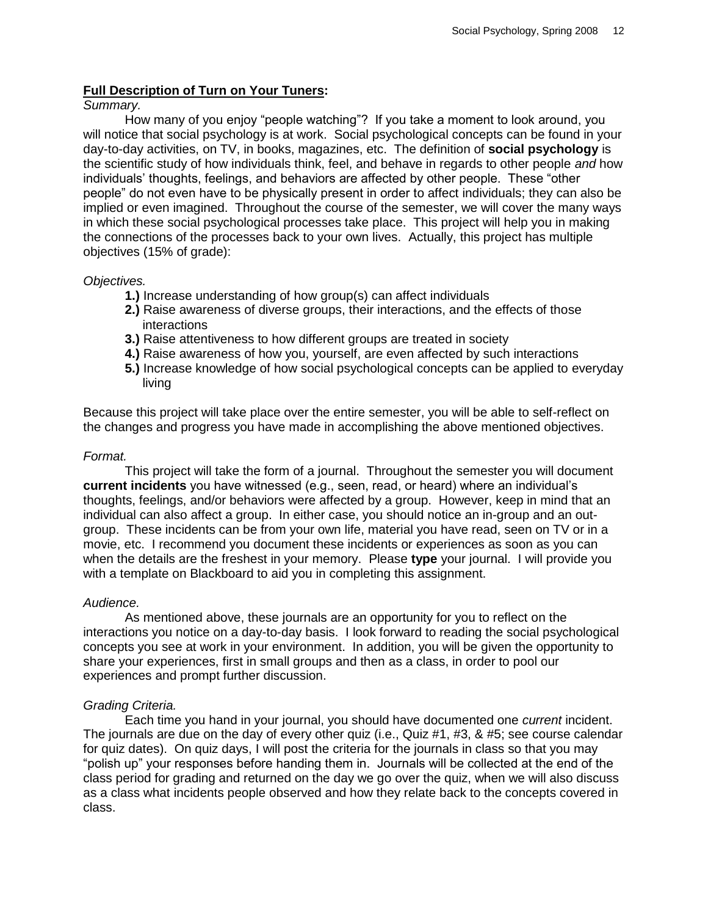#### **Full Description of Turn on Your Tuners:**

#### *Summary.*

How many of you enjoy "people watching"? If you take a moment to look around, you will notice that social psychology is at work. Social psychological concepts can be found in your day-to-day activities, on TV, in books, magazines, etc. The definition of **social psychology** is the scientific study of how individuals think, feel, and behave in regards to other people *and* how individuals' thoughts, feelings, and behaviors are affected by other people. These "other people‖ do not even have to be physically present in order to affect individuals; they can also be implied or even imagined. Throughout the course of the semester, we will cover the many ways in which these social psychological processes take place. This project will help you in making the connections of the processes back to your own lives. Actually, this project has multiple objectives (15% of grade):

#### *Objectives.*

- **1.)** Increase understanding of how group(s) can affect individuals
- **2.)** Raise awareness of diverse groups, their interactions, and the effects of those interactions
- **3.)** Raise attentiveness to how different groups are treated in society
- **4.)** Raise awareness of how you, yourself, are even affected by such interactions
- **5.)** Increase knowledge of how social psychological concepts can be applied to everyday living

Because this project will take place over the entire semester, you will be able to self-reflect on the changes and progress you have made in accomplishing the above mentioned objectives.

#### *Format.*

This project will take the form of a journal. Throughout the semester you will document **current incidents** you have witnessed (e.g., seen, read, or heard) where an individual's thoughts, feelings, and/or behaviors were affected by a group. However, keep in mind that an individual can also affect a group. In either case, you should notice an in-group and an outgroup. These incidents can be from your own life, material you have read, seen on TV or in a movie, etc. I recommend you document these incidents or experiences as soon as you can when the details are the freshest in your memory. Please **type** your journal. I will provide you with a template on Blackboard to aid you in completing this assignment.

#### *Audience.*

As mentioned above, these journals are an opportunity for you to reflect on the interactions you notice on a day-to-day basis. I look forward to reading the social psychological concepts you see at work in your environment. In addition, you will be given the opportunity to share your experiences, first in small groups and then as a class, in order to pool our experiences and prompt further discussion.

#### *Grading Criteria.*

Each time you hand in your journal, you should have documented one *current* incident. The journals are due on the day of every other quiz (i.e., Quiz #1, #3, & #5; see course calendar for quiz dates). On quiz days, I will post the criteria for the journals in class so that you may "polish up" your responses before handing them in. Journals will be collected at the end of the class period for grading and returned on the day we go over the quiz, when we will also discuss as a class what incidents people observed and how they relate back to the concepts covered in class.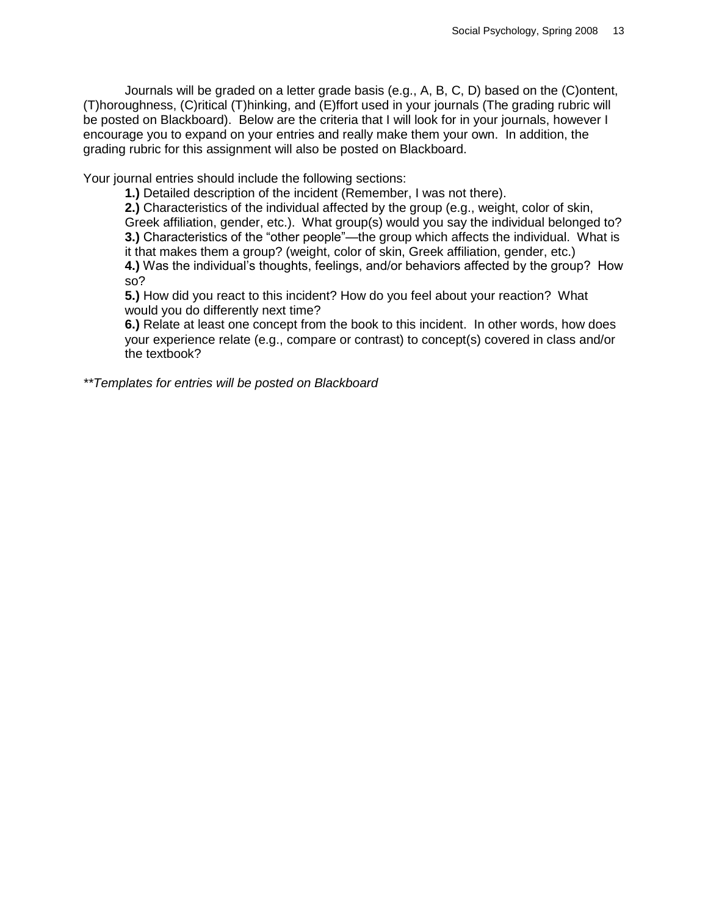Journals will be graded on a letter grade basis (e.g., A, B, C, D) based on the (C)ontent, (T)horoughness, (C)ritical (T)hinking, and (E)ffort used in your journals (The grading rubric will be posted on Blackboard). Below are the criteria that I will look for in your journals, however I encourage you to expand on your entries and really make them your own. In addition, the grading rubric for this assignment will also be posted on Blackboard.

Your journal entries should include the following sections:

**1.)** Detailed description of the incident (Remember, I was not there).

**2.)** Characteristics of the individual affected by the group (e.g., weight, color of skin, Greek affiliation, gender, etc.). What group(s) would you say the individual belonged to? **3.)** Characteristics of the "other people"—the group which affects the individual. What is it that makes them a group? (weight, color of skin, Greek affiliation, gender, etc.) **4.)** Was the individual's thoughts, feelings, and/or behaviors affected by the group? How so?

**5.)** How did you react to this incident? How do you feel about your reaction? What would you do differently next time?

**6.)** Relate at least one concept from the book to this incident. In other words, how does your experience relate (e.g., compare or contrast) to concept(s) covered in class and/or the textbook?

*\*\*Templates for entries will be posted on Blackboard*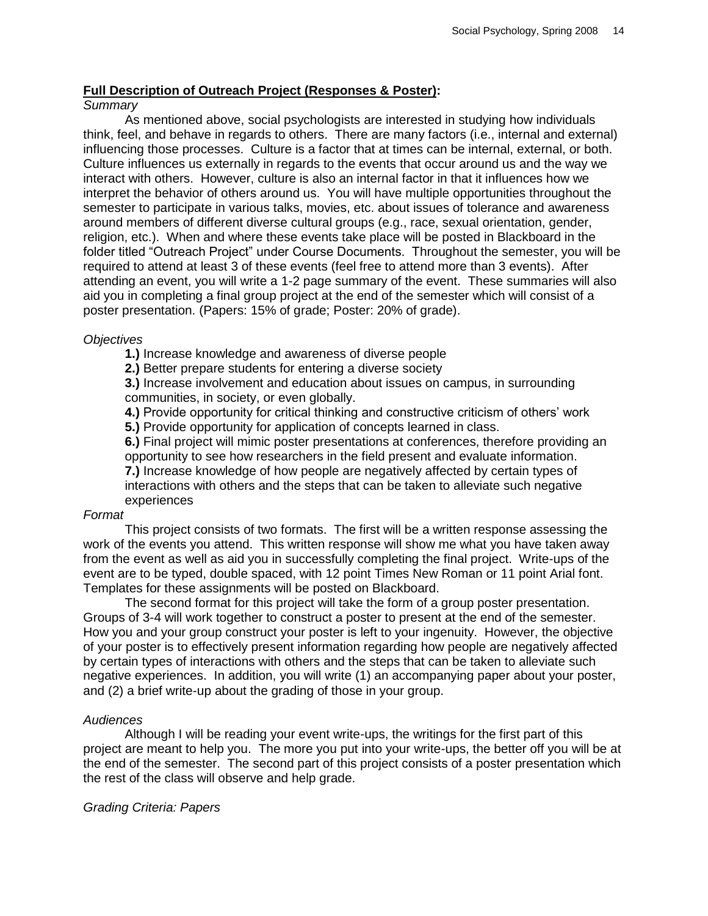#### **Full Description of Outreach Project (Responses & Poster):**

#### *Summary*

As mentioned above, social psychologists are interested in studying how individuals think, feel, and behave in regards to others. There are many factors (i.e., internal and external) influencing those processes. Culture is a factor that at times can be internal, external, or both. Culture influences us externally in regards to the events that occur around us and the way we interact with others. However, culture is also an internal factor in that it influences how we interpret the behavior of others around us. You will have multiple opportunities throughout the semester to participate in various talks, movies, etc. about issues of tolerance and awareness around members of different diverse cultural groups (e.g., race, sexual orientation, gender, religion, etc.). When and where these events take place will be posted in Blackboard in the folder titled "Outreach Project" under Course Documents. Throughout the semester, you will be required to attend at least 3 of these events (feel free to attend more than 3 events). After attending an event, you will write a 1-2 page summary of the event. These summaries will also aid you in completing a final group project at the end of the semester which will consist of a poster presentation. (Papers: 15% of grade; Poster: 20% of grade).

#### *Objectives*

**1.)** Increase knowledge and awareness of diverse people

**2.)** Better prepare students for entering a diverse society

**3.)** Increase involvement and education about issues on campus, in surrounding communities, in society, or even globally.

**4.)** Provide opportunity for critical thinking and constructive criticism of others' work

**5.)** Provide opportunity for application of concepts learned in class.

**6.)** Final project will mimic poster presentations at conferences, therefore providing an opportunity to see how researchers in the field present and evaluate information. **7.)** Increase knowledge of how people are negatively affected by certain types of interactions with others and the steps that can be taken to alleviate such negative experiences

#### *Format*

This project consists of two formats. The first will be a written response assessing the work of the events you attend. This written response will show me what you have taken away from the event as well as aid you in successfully completing the final project. Write-ups of the event are to be typed, double spaced, with 12 point Times New Roman or 11 point Arial font. Templates for these assignments will be posted on Blackboard.

The second format for this project will take the form of a group poster presentation. Groups of 3-4 will work together to construct a poster to present at the end of the semester. How you and your group construct your poster is left to your ingenuity. However, the objective of your poster is to effectively present information regarding how people are negatively affected by certain types of interactions with others and the steps that can be taken to alleviate such negative experiences. In addition, you will write (1) an accompanying paper about your poster, and (2) a brief write-up about the grading of those in your group.

#### *Audiences*

Although I will be reading your event write-ups, the writings for the first part of this project are meant to help you. The more you put into your write-ups, the better off you will be at the end of the semester. The second part of this project consists of a poster presentation which the rest of the class will observe and help grade.

#### *Grading Criteria: Papers*